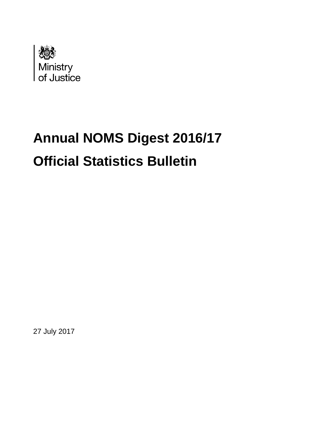

# **Annual NOMS Digest 2016/17 Official Statistics Bulletin**

27 July 2017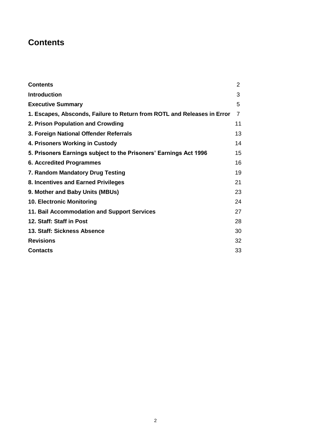### <span id="page-1-0"></span>**Contents**

| <b>Contents</b>                                                         | $\overline{2}$ |  |  |
|-------------------------------------------------------------------------|----------------|--|--|
| <b>Introduction</b>                                                     | 3              |  |  |
| <b>Executive Summary</b>                                                | 5              |  |  |
| 1. Escapes, Absconds, Failure to Return from ROTL and Releases in Error | $\overline{7}$ |  |  |
| 2. Prison Population and Crowding                                       | 11             |  |  |
| 3. Foreign National Offender Referrals                                  | 13             |  |  |
| 4. Prisoners Working in Custody                                         | 14             |  |  |
| 5. Prisoners Earnings subject to the Prisoners' Earnings Act 1996       | 15             |  |  |
| 6. Accredited Programmes                                                | 16             |  |  |
| 7. Random Mandatory Drug Testing                                        |                |  |  |
| 8. Incentives and Earned Privileges                                     |                |  |  |
| 9. Mother and Baby Units (MBUs)                                         |                |  |  |
| <b>10. Electronic Monitoring</b>                                        | 24             |  |  |
| 11. Bail Accommodation and Support Services                             |                |  |  |
| 12. Staff: Staff in Post                                                | 28             |  |  |
| 13. Staff: Sickness Absence                                             | 30             |  |  |
| <b>Revisions</b>                                                        | 32             |  |  |
| <b>Contacts</b>                                                         | 33             |  |  |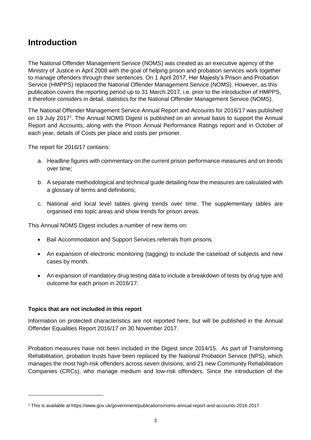### <span id="page-2-0"></span>**Introduction**

The National Offender Management Service (NOMS) was created as an executive agency of the Ministry of Justice in April 2008 with the goal of helping prison and probation services work together to manage offenders through their sentences. On 1 April 2017, Her Majesty's Prison and Probation Service (HMPPS) replaced the National Offender Management Service (NOMS). However, as this publication covers the reporting period up to 31 March 2017, i.e. prior to the introduction of HMPPS, it therefore considers in detail, statistics for the National Offender Management Service (NOMS).

The National Offender Management Service Annual Report and Accounts for 2016/17 was published on 19 July 2017<sup>1</sup>. The Annual NOMS Digest is published on an annual basis to support the Annual Report and Accounts, along with the Prison Annual Performance Ratings report and in October of each year, details of Costs per place and costs per prisoner.

The report for 2016/17 contains:

- a. Headline figures with commentary on the current prison performance measures and on trends over time;
- b. A separate methodological and technical guide detailing how the measures are calculated with a glossary of terms and definitions;
- c. National and local level tables giving trends over time. The supplementary tables are organised into topic areas and show trends for prison areas.

This Annual NOMS Digest includes a number of new items on:

- Bail Accommodation and Support Services referrals from prisons.
- An expansion of electronic monitoring (tagging) to include the caseload of subjects and new cases by month.
- An expansion of mandatory drug testing data to include a breakdown of tests by drug type and outcome for each prison in 2016/17.

### **Topics that are not included in this report**

**.** 

Information on protected characteristics are not reported here, but will be published in the Annual Offender Equalities Report 2016/17 on 30 November 2017.

Probation measures have not been included in the Digest since 2014/15. As part of Transforming Rehabilitation, probation trusts have been replaced by the National Probation Service (NPS), which manages the most high-risk offenders across seven divisions; and 21 new Community Rehabilitation Companies (CRCs), who manage medium and low-risk offenders. Since the introduction of the

<sup>1</sup> This is available at https://www.gov.uk/government/publications/noms-annual-report-and-accounts-2016-2017.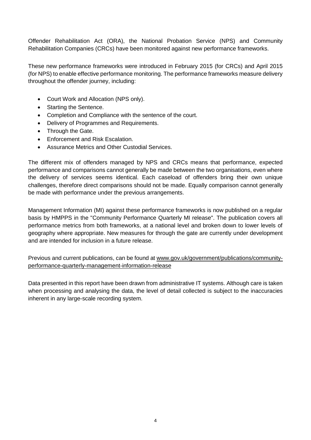Offender Rehabilitation Act (ORA), the National Probation Service (NPS) and Community Rehabilitation Companies (CRCs) have been monitored against new performance frameworks.

These new performance frameworks were introduced in February 2015 (for CRCs) and April 2015 (for NPS) to enable effective performance monitoring. The performance frameworks measure delivery throughout the offender journey, including:

- Court Work and Allocation (NPS only).
- Starting the Sentence.
- Completion and Compliance with the sentence of the court.
- Delivery of Programmes and Requirements.
- Through the Gate.
- Enforcement and Risk Escalation.
- Assurance Metrics and Other Custodial Services.

The different mix of offenders managed by NPS and CRCs means that performance, expected performance and comparisons cannot generally be made between the two organisations, even where the delivery of services seems identical. Each caseload of offenders bring their own unique challenges, therefore direct comparisons should not be made. Equally comparison cannot generally be made with performance under the previous arrangements.

Management Information (MI) against these performance frameworks is now published on a regular basis by HMPPS in the "Community Performance Quarterly MI release". The publication covers all performance metrics from both frameworks, at a national level and broken down to lower levels of geography where appropriate. New measures for through the gate are currently under development and are intended for inclusion in a future release.

Previous and current publications, can be found at [www.gov.uk/government/publications/community](https://www.gov.uk/government/publications/community-performance-quarterly-management-information-release)[performance-quarterly-management-information-release](https://www.gov.uk/government/publications/community-performance-quarterly-management-information-release)

Data presented in this report have been drawn from administrative IT systems. Although care is taken when processing and analysing the data, the level of detail collected is subject to the inaccuracies inherent in any large-scale recording system.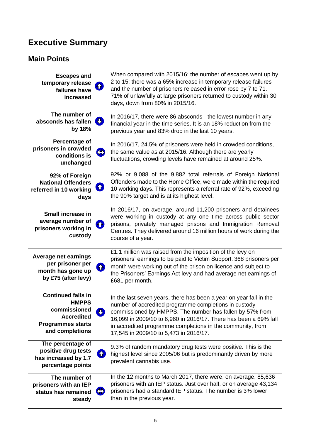# <span id="page-4-0"></span>**Executive Summary**

### **Main Points**

| <b>Escapes and</b><br>temporary release<br>$\bf \Omega$<br>failures have<br>increased                                         | When compared with 2015/16: the number of escapes went up by<br>2 to 15; there was a 65% increase in temporary release failures<br>and the number of prisoners released in error rose by 7 to 71.<br>71% of unlawfully at large prisoners returned to custody within 30<br>days, down from 80% in 2015/16.                                                          |
|-------------------------------------------------------------------------------------------------------------------------------|---------------------------------------------------------------------------------------------------------------------------------------------------------------------------------------------------------------------------------------------------------------------------------------------------------------------------------------------------------------------|
| The number of<br>absconds has fallen<br>by 18%                                                                                | In 2016/17, there were 86 absconds - the lowest number in any<br>financial year in the time series. It is an 18% reduction from the<br>previous year and 83% drop in the last 10 years.                                                                                                                                                                             |
| Percentage of<br>prisoners in crowded<br>conditions is<br>unchanged                                                           | In 2016/17, 24.5% of prisoners were held in crowded conditions,<br>the same value as at 2015/16. Although there are yearly<br>fluctuations, crowding levels have remained at around 25%.                                                                                                                                                                            |
| 92% of Foreign<br><b>National Offenders</b><br>Î.<br>referred in 10 working<br>days                                           | 92% or 9,088 of the 9,882 total referrals of Foreign National<br>Offenders made to the Home Office, were made within the required<br>10 working days. This represents a referral rate of 92%, exceeding<br>the 90% target and is at its highest level.                                                                                                              |
| Small increase in<br>average number of<br>prisoners working in<br>custody                                                     | In 2016/17, on average, around 11,200 prisoners and detainees<br>were working in custody at any one time across public sector<br>prisons, privately managed prisons and Immigration Removal<br>Centres. They delivered around 16 million hours of work during the<br>course of a year.                                                                              |
| <b>Average net earnings</b><br>per prisoner per<br><b>企</b><br>month has gone up<br>by £75 (after levy)                       | £1.1 million was raised from the imposition of the levy on<br>prisoners' earnings to be paid to Victim Support. 368 prisoners per<br>month were working out of the prison on licence and subject to<br>the Prisoners' Earnings Act levy and had average net earnings of<br>£681 per month.                                                                          |
| <b>Continued falls in</b><br><b>HMPPS</b><br>commissioned<br><b>Accredited</b><br><b>Programmes starts</b><br>and completions | In the last seven years, there has been a year on year fall in the<br>number of accredited programme completions in custody<br>commissioned by HMPPS. The number has fallen by 57% from<br>16,099 in 2009/10 to 6,960 in 2016/17. There has been a 69% fall<br>in accredited programme completions in the community, from<br>17,545 in 2009/10 to 5,473 in 2016/17. |
| The percentage of<br>positive drug tests<br>has increased by 1.7<br>percentage points                                         | 9.3% of random mandatory drug tests were positive. This is the<br>highest level since 2005/06 but is predominantly driven by more<br>prevalent cannabis use.                                                                                                                                                                                                        |
| The number of<br>prisoners with an IEP<br>\$<br>status has remained<br>steady                                                 | In the 12 months to March 2017, there were, on average, 85,636<br>prisoners with an IEP status. Just over half, or on average 43,134<br>prisoners had a standard IEP status. The number is 3% lower<br>than in the previous year.                                                                                                                                   |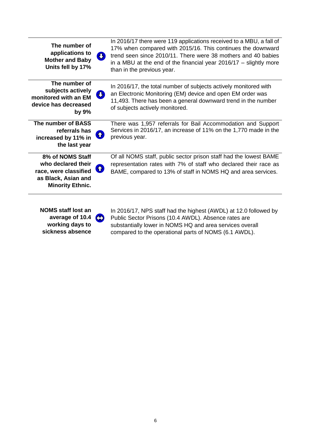| The number of<br>applications to<br><b>Mother and Baby</b><br>Units fell by 17%                                   | <b>V</b> | In 2016/17 there were 119 applications received to a MBU, a fall of<br>17% when compared with 2015/16. This continues the downward<br>trend seen since 2010/11. There were 38 mothers and 40 babies<br>in a MBU at the end of the financial year $2016/17 -$ slightly more<br>than in the previous year. |
|-------------------------------------------------------------------------------------------------------------------|----------|----------------------------------------------------------------------------------------------------------------------------------------------------------------------------------------------------------------------------------------------------------------------------------------------------------|
| The number of<br>subjects actively<br>monitored with an EM<br>device has decreased<br>by 9%                       |          | In 2016/17, the total number of subjects actively monitored with<br>an Electronic Monitoring (EM) device and open EM order was<br>11,493. There has been a general downward trend in the number<br>of subjects actively monitored.                                                                       |
| The number of BASS<br>referrals has<br>increased by 11% in<br>the last year                                       | Œ,       | There was 1,957 referrals for Bail Accommodation and Support<br>Services in 2016/17, an increase of 11% on the 1,770 made in the<br>previous year.                                                                                                                                                       |
| 8% of NOMS Staff<br>who declared their<br>race, were classified<br>as Black, Asian and<br><b>Minority Ethnic.</b> | ↑        | Of all NOMS staff, public sector prison staff had the lowest BAME<br>representation rates with 7% of staff who declared their race as<br>BAME, compared to 13% of staff in NOMS HQ and area services.                                                                                                    |
| NOMS staff lost an                                                                                                |          | In 2016/17 NPS staff had the highest $(AWDI)$ at 12 0 followed by                                                                                                                                                                                                                                        |

**NOMS staff lost an average of 10.4 working days to sickness absence** In 2016/17, NPS staff had the highest (AWDL) at 12.0 followed by Public Sector Prisons (10.4 AWDL). Absence rates are substantially lower in NOMS HQ and area services overall compared to the operational parts of NOMS (6.1 AWDL).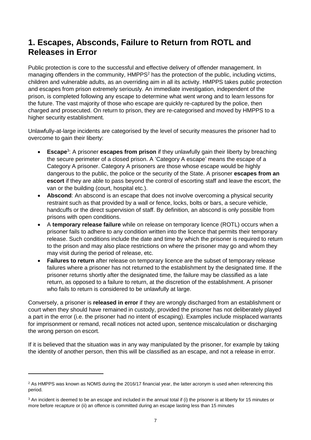### <span id="page-6-0"></span>**1. Escapes, Absconds, Failure to Return from ROTL and Releases in Error**

Public protection is core to the successful and effective delivery of offender management. In managing offenders in the community, HMPPS<sup>2</sup> has the protection of the public, including victims, children and vulnerable adults, as an overriding aim in all its activity. HMPPS takes public protection and escapes from prison extremely seriously. An immediate investigation, independent of the prison, is completed following any escape to determine what went wrong and to learn lessons for the future. The vast majority of those who escape are quickly re-captured by the police, then charged and prosecuted. On return to prison, they are re-categorised and moved by HMPPS to a higher security establishment.

Unlawfully-at-large incidents are categorised by the level of security measures the prisoner had to overcome to gain their liberty:

- **Escape**<sup>3</sup>: A prisoner **escapes from prison** if they unlawfully gain their liberty by breaching the secure perimeter of a closed prison. A 'Category A escape' means the escape of a Category A prisoner. Category A prisoners are those whose escape would be highly dangerous to the public, the police or the security of the State. A prisoner **escapes from an escort** if they are able to pass beyond the control of escorting staff and leave the escort, the van or the building (court, hospital etc.).
- **Abscond**: An abscond is an escape that does not involve overcoming a physical security restraint such as that provided by a wall or fence, locks, bolts or bars, a secure vehicle, handcuffs or the direct supervision of staff. By definition, an abscond is only possible from prisons with open conditions.
- A **temporary release failure** while on release on temporary licence (ROTL) occurs when a prisoner fails to adhere to any condition written into the licence that permits their temporary release. Such conditions include the date and time by which the prisoner is required to return to the prison and may also place restrictions on where the prisoner may go and whom they may visit during the period of release, etc.
- **Failures to return** after release on temporary licence are the subset of temporary release failures where a prisoner has not returned to the establishment by the designated time. If the prisoner returns shortly after the designated time, the failure may be classified as a late return, as opposed to a failure to return, at the discretion of the establishment. A prisoner who fails to return is considered to be unlawfully at large.

Conversely, a prisoner is **released in error** if they are wrongly discharged from an establishment or court when they should have remained in custody, provided the prisoner has not deliberately played a part in the error (i.e. the prisoner had no intent of escaping). Examples include misplaced warrants for imprisonment or remand, recall notices not acted upon, sentence miscalculation or discharging the wrong person on escort.

If it is believed that the situation was in any way manipulated by the prisoner, for example by taking the identity of another person, then this will be classified as an escape, and not a release in error.

 $\overline{a}$ 

 $2$  As HMPPS was known as NOMS during the 2016/17 financial year, the latter acronym is used when referencing this period.

 $3$  An incident is deemed to be an escape and included in the annual total if (i) the prisoner is at liberty for 15 minutes or more before recapture or (ii) an offence is committed during an escape lasting less than 15 minutes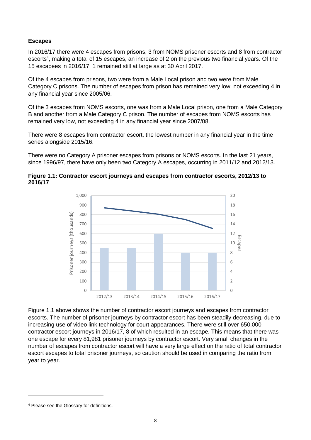### **Escapes**

In 2016/17 there were 4 escapes from prisons, 3 from NOMS prisoner escorts and 8 from contractor escorts<sup>4</sup>, making a total of 15 escapes, an increase of 2 on the previous two financial years. Of the 15 escapees in 2016/17, 1 remained still at large as at 30 April 2017.

Of the 4 escapes from prisons, two were from a Male Local prison and two were from Male Category C prisons. The number of escapes from prison has remained very low, not exceeding 4 in any financial year since 2005/06.

Of the 3 escapes from NOMS escorts, one was from a Male Local prison, one from a Male Category B and another from a Male Category C prison. The number of escapes from NOMS escorts has remained very low, not exceeding 4 in any financial year since 2007/08.

There were 8 escapes from contractor escort, the lowest number in any financial year in the time series alongside 2015/16.

There were no Category A prisoner escapes from prisons or NOMS escorts. In the last 21 years, since 1996/97, there have only been two Category A escapes, occurring in 2011/12 and 2012/13.





Figure 1.1 above shows the number of contractor escort journeys and escapes from contractor escorts. The number of prisoner journeys by contractor escort has been steadily decreasing, due to increasing use of video link technology for court appearances. There were still over 650,000 contractor escort journeys in 2016/17, 8 of which resulted in an escape. This means that there was one escape for every 81,981 prisoner journeys by contractor escort. Very small changes in the number of escapes from contractor escort will have a very large effect on the ratio of total contractor escort escapes to total prisoner journeys, so caution should be used in comparing the ratio from year to year.

<sup>4</sup> Please see the Glossary for definitions.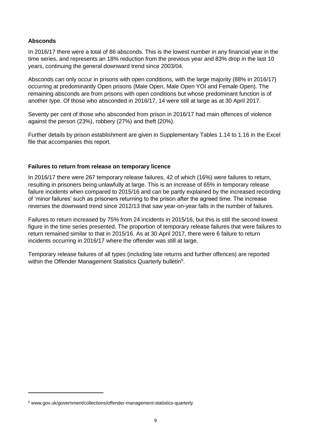### **Absconds**

**.** 

In 2016/17 there were a total of 86 absconds. This is the lowest number in any financial year in the time series, and represents an 18% reduction from the previous year and 83% drop in the last 10 years, continuing the general downward trend since 2003/04.

Absconds can only occur in prisons with open conditions, with the large majority (88% in 2016/17) occurring at predominantly Open prisons (Male Open, Male Open YOI and Female Open). The remaining absconds are from prisons with open conditions but whose predominant function is of another type. Of those who absconded in 2016/17, 14 were still at large as at 30 April 2017.

Seventy per cent of those who absconded from prison in 2016/17 had main offences of violence against the person (23%), robbery (27%) and theft (20%).

Further details by prison establishment are given in Supplementary Tables 1.14 to 1.16 in the Excel file that accompanies this report.

#### **Failures to return from release on temporary licence**

In 2016/17 there were 267 temporary release failures, 42 of which (16%) were failures to return, resulting in prisoners being unlawfully at large. This is an increase of 65% in temporary release failure incidents when compared to 2015/16 and can be partly explained by the increased recording of 'minor failures' such as prisoners returning to the prison after the agreed time. The increase reverses the downward trend since 2012/13 that saw year-on-year falls in the number of failures.

Failures to return increased by 75% from 24 incidents in 2015/16, but this is still the second lowest figure in the time series presented. The proportion of temporary release failures that were failures to return remained similar to that in 2015/16. As at 30 April 2017, there were 6 failure to return incidents occurring in 2016/17 where the offender was still at large.

Temporary release failures of all types (including late returns and further offences) are reported within the Offender Management Statistics Quarterly bulletin<sup>5</sup>.

<sup>5</sup> [www.gov.uk/government/collections/offender-management-statistics-quarterly](https://www.gov.uk/government/collections/offender-management-statistics-quarterly)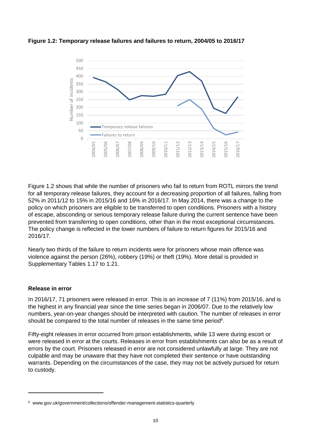

**Figure 1.2: Temporary release failures and failures to return, 2004/05 to 2016/17**

Figure 1.2 shows that while the number of prisoners who fail to return from ROTL mirrors the trend for all temporary release failures, they account for a decreasing proportion of all failures, falling from 52% in 2011/12 to 15% in 2015/16 and 16% in 2016/17. In May 2014, there was a change to the policy on which prisoners are eligible to be transferred to open conditions. Prisoners with a history of escape, absconding or serious temporary release failure during the current sentence have been prevented from transferring to open conditions, other than in the most exceptional circumstances. The policy change is reflected in the lower numbers of failure to return figures for 2015/16 and 2016/17.

Nearly two thirds of the failure to return incidents were for prisoners whose main offence was violence against the person (26%), robbery (19%) or theft (19%). More detail is provided in Supplementary Tables 1.17 to 1.21.

#### **Release in error**

**.** 

In 2016/17, 71 prisoners were released in error. This is an increase of 7 (11%) from 2015/16, and is the highest in any financial year since the time series began in 2006/07. Due to the relatively low numbers, year-on-year changes should be interpreted with caution. The number of releases in error should be compared to the total number of releases in the same time period<sup>6</sup>.

Fifty-eight releases in error occurred from prison establishments, while 13 were during escort or were released in error at the courts. Releases in error from establishments can also be as a result of errors by the court. Prisoners released in error are not considered unlawfully at large. They are not culpable and may be unaware that they have not completed their sentence or have outstanding warrants. Depending on the circumstances of the case, they may not be actively pursued for return to custody.

<sup>6</sup> [www.gov.uk/government/collections/offender-management-statistics-quarterly](https://www.gov.uk/government/collections/offender-management-statistics-quarterly)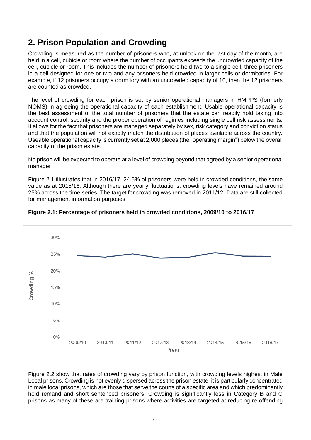# <span id="page-10-0"></span>**2. Prison Population and Crowding**

Crowding is measured as the number of prisoners who, at unlock on the last day of the month, are held in a cell, cubicle or room where the number of occupants exceeds the uncrowded capacity of the cell, cubicle or room. This includes the number of prisoners held two to a single cell, three prisoners in a cell designed for one or two and any prisoners held crowded in larger cells or dormitories. For example, if 12 prisoners occupy a dormitory with an uncrowded capacity of 10, then the 12 prisoners are counted as crowded.

The level of crowding for each prison is set by senior operational managers in HMPPS (formerly NOMS) in agreeing the operational capacity of each establishment. Usable operational capacity is the best assessment of the total number of prisoners that the estate can readily hold taking into account control, security and the proper operation of regimes including single cell risk assessments. It allows for the fact that prisoners are managed separately by sex, risk category and conviction status and that the population will not exactly match the distribution of places available across the country. Useable operational capacity is currently set at 2,000 places (the "operating margin") below the overall capacity of the prison estate.

No prison will be expected to operate at a level of crowding beyond that agreed by a senior operational manager

Figure 2.1 illustrates that in 2016/17, 24.5% of prisoners were held in crowded conditions, the same value as at 2015/16. Although there are yearly fluctuations, crowding levels have remained around 25% across the time series. The target for crowding was removed in 2011/12. Data are still collected for management information purposes.





Figure 2.2 show that rates of crowding vary by prison function, with crowding levels highest in Male Local prisons. Crowding is not evenly dispersed across the prison estate; it is particularly concentrated in male local prisons, which are those that serve the courts of a specific area and which predominantly hold remand and short sentenced prisoners. Crowding is significantly less in Category B and C prisons as many of these are training prisons where activities are targeted at reducing re-offending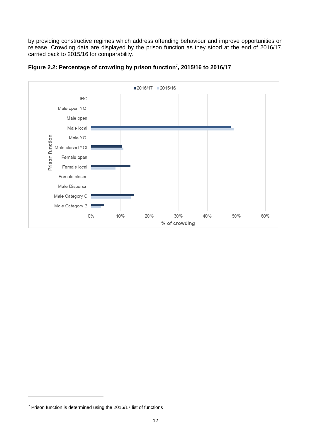by providing constructive regimes which address offending behaviour and improve opportunities on release. Crowding data are displayed by the prison function as they stood at the end of 2016/17, carried back to 2015/16 for comparability.





<sup>7</sup> Prison function is determined using the 2016/17 list of functions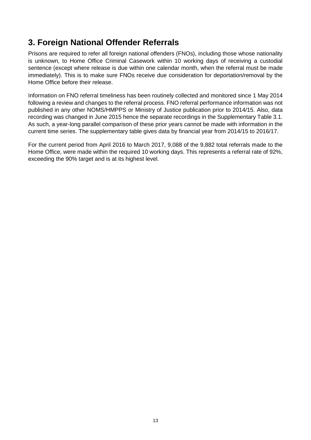### <span id="page-12-0"></span>**3. Foreign National Offender Referrals**

Prisons are required to refer all foreign national offenders (FNOs), including those whose nationality is unknown, to Home Office Criminal Casework within 10 working days of receiving a custodial sentence (except where release is due within one calendar month, when the referral must be made immediately). This is to make sure FNOs receive due consideration for deportation/removal by the Home Office before their release.

Information on FNO referral timeliness has been routinely collected and monitored since 1 May 2014 following a review and changes to the referral process. FNO referral performance information was not published in any other NOMS/HMPPS or Ministry of Justice publication prior to 2014/15. Also, data recording was changed in June 2015 hence the separate recordings in the Supplementary Table 3.1. As such, a year-long parallel comparison of these prior years cannot be made with information in the current time series. The supplementary table gives data by financial year from 2014/15 to 2016/17.

For the current period from April 2016 to March 2017, 9,088 of the 9,882 total referrals made to the Home Office, were made within the required 10 working days. This represents a referral rate of 92%, exceeding the 90% target and is at its highest level.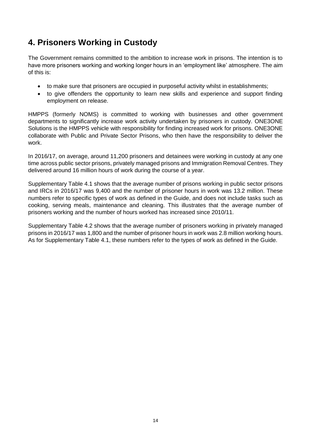# <span id="page-13-0"></span>**4. Prisoners Working in Custody**

The Government remains committed to the ambition to increase work in prisons. The intention is to have more prisoners working and working longer hours in an 'employment like' atmosphere. The aim of this is:

- to make sure that prisoners are occupied in purposeful activity whilst in establishments;
- to give offenders the opportunity to learn new skills and experience and support finding employment on release.

HMPPS (formerly NOMS) is committed to working with businesses and other government departments to significantly increase work activity undertaken by prisoners in custody. ONE3ONE Solutions is the HMPPS vehicle with responsibility for finding increased work for prisons. ONE3ONE collaborate with Public and Private Sector Prisons, who then have the responsibility to deliver the work.

In 2016/17, on average, around 11,200 prisoners and detainees were working in custody at any one time across public sector prisons, privately managed prisons and Immigration Removal Centres. They delivered around 16 million hours of work during the course of a year.

Supplementary Table 4.1 shows that the average number of prisons working in public sector prisons and IRCs in 2016/17 was 9,400 and the number of prisoner hours in work was 13.2 million. These numbers refer to specific types of work as defined in the Guide, and does not include tasks such as cooking, serving meals, maintenance and cleaning. This illustrates that the average number of prisoners working and the number of hours worked has increased since 2010/11.

Supplementary Table 4.2 shows that the average number of prisoners working in privately managed prisons in 2016/17 was 1,800 and the number of prisoner hours in work was 2.8 million working hours. As for Supplementary Table 4.1, these numbers refer to the types of work as defined in the Guide.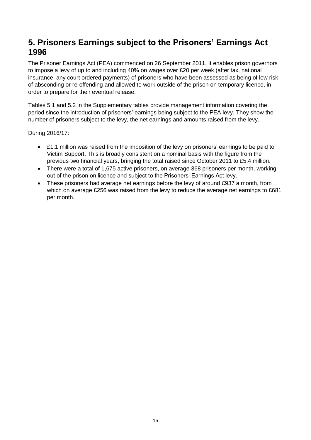### <span id="page-14-0"></span>**5. Prisoners Earnings subject to the Prisoners' Earnings Act 1996**

The Prisoner Earnings Act (PEA) commenced on 26 September 2011. It enables prison governors to impose a levy of up to and including 40% on wages over £20 per week (after tax, national insurance, any court ordered payments) of prisoners who have been assessed as being of low risk of absconding or re-offending and allowed to work outside of the prison on temporary licence, in order to prepare for their eventual release.

Tables 5.1 and 5.2 in the Supplementary tables provide management information covering the period since the introduction of prisoners' earnings being subject to the PEA levy. They show the number of prisoners subject to the levy, the net earnings and amounts raised from the levy.

During 2016/17:

- £1.1 million was raised from the imposition of the levy on prisoners' earnings to be paid to Victim Support. This is broadly consistent on a nominal basis with the figure from the previous two financial years, bringing the total raised since October 2011 to £5.4 million.
- There were a total of 1,675 active prisoners, on average 368 prisoners per month, working out of the prison on licence and subject to the Prisoners' Earnings Act levy.
- These prisoners had average net earnings before the levy of around £937 a month, from which on average £256 was raised from the levy to reduce the average net earnings to £681 per month.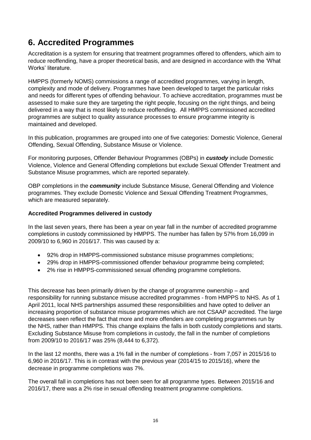# <span id="page-15-0"></span>**6. Accredited Programmes**

Accreditation is a system for ensuring that treatment programmes offered to offenders, which aim to reduce reoffending, have a proper theoretical basis, and are designed in accordance with the 'What Works' literature.

HMPPS (formerly NOMS) commissions a range of accredited programmes, varying in length, complexity and mode of delivery. Programmes have been developed to target the particular risks and needs for different types of offending behaviour. To achieve accreditation, programmes must be assessed to make sure they are targeting the right people, focusing on the right things, and being delivered in a way that is most likely to reduce reoffending. All HMPPS commissioned accredited programmes are subject to quality assurance processes to ensure programme integrity is maintained and developed.

In this publication, programmes are grouped into one of five categories: Domestic Violence, General Offending, Sexual Offending, Substance Misuse or Violence.

For monitoring purposes, Offender Behaviour Programmes (OBPs) in *custody* include Domestic Violence, Violence and General Offending completions but exclude Sexual Offender Treatment and Substance Misuse programmes, which are reported separately.

OBP completions in the *community* include Substance Misuse, General Offending and Violence programmes. They exclude Domestic Violence and Sexual Offending Treatment Programmes, which are measured separately.

### **Accredited Programmes delivered in custody**

In the last seven years, there has been a year on year fall in the number of accredited programme completions in custody commissioned by HMPPS. The number has fallen by 57% from 16,099 in 2009/10 to 6,960 in 2016/17. This was caused by a:

- 92% drop in HMPPS-commissioned substance misuse programmes completions;
- 29% drop in HMPPS-commissioned offender behaviour programme being completed;
- 2% rise in HMPPS-commissioned sexual offending programme completions.

This decrease has been primarily driven by the change of programme ownership – and responsibility for running substance misuse accredited programmes - from HMPPS to NHS. As of 1 April 2011, local NHS partnerships assumed these responsibilities and have opted to deliver an increasing proportion of substance misuse programmes which are not CSAAP accredited. The large decreases seen reflect the fact that more and more offenders are completing programmes run by the NHS, rather than HMPPS. This change explains the falls in both custody completions and starts. Excluding Substance Misuse from completions in custody, the fall in the number of completions from 2009/10 to 2016/17 was 25% (8,444 to 6,372).

In the last 12 months, there was a 1% fall in the number of completions - from 7,057 in 2015/16 to 6,960 in 2016/17. This is in contrast with the previous year (2014/15 to 2015/16), where the decrease in programme completions was 7%.

The overall fall in completions has not been seen for all programme types. Between 2015/16 and 2016/17, there was a 2% rise in sexual offending treatment programme completions.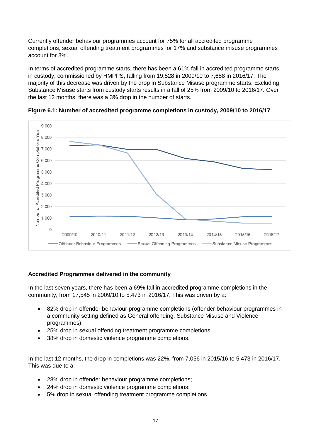Currently offender behaviour programmes account for 75% for all accredited programme completions, sexual offending treatment programmes for 17% and substance misuse programmes account for 8%.

In terms of accredited programme starts, there has been a 61% fall in accredited programme starts in custody, commissioned by HMPPS, falling from 19,528 in 2009/10 to 7,688 in 2016/17. The majority of this decrease was driven by the drop in Substance Misuse programme starts. Excluding Substance Misuse starts from custody starts results in a fall of 25% from 2009/10 to 2016/17. Over the last 12 months, there was a 3% drop in the number of starts.



**Figure 6.1: Number of accredited programme completions in custody, 2009/10 to 2016/17**

### **Accredited Programmes delivered in the community**

In the last seven years, there has been a 69% fall in accredited programme completions in the community, from 17,545 in 2009/10 to 5,473 in 2016/17. This was driven by a:

- 82% drop in offender behaviour programme completions (offender behaviour programmes in a community setting defined as General offending, Substance Misuse and Violence programmes);
- 25% drop in sexual offending treatment programme completions;
- 38% drop in domestic violence programme completions.

In the last 12 months, the drop in completions was 22%, from 7,056 in 2015/16 to 5,473 in 2016/17. This was due to a:

- 28% drop in offender behaviour programme completions;
- 24% drop in domestic violence programme completions;
- 5% drop in sexual offending treatment programme completions.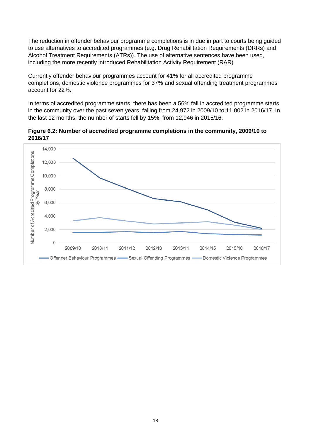The reduction in offender behaviour programme completions is in due in part to courts being guided to use alternatives to accredited programmes (e.g. Drug Rehabilitation Requirements (DRRs) and Alcohol Treatment Requirements (ATRs)). The use of alternative sentences have been used, including the more recently introduced Rehabilitation Activity Requirement (RAR).

Currently offender behaviour programmes account for 41% for all accredited programme completions, domestic violence programmes for 37% and sexual offending treatment programmes account for 22%.

In terms of accredited programme starts, there has been a 56% fall in accredited programme starts in the community over the past seven years, falling from 24,972 in 2009/10 to 11,002 in 2016/17. In the last 12 months, the number of starts fell by 15%, from 12,946 in 2015/16.

**Figure 6.2: Number of accredited programme completions in the community, 2009/10 to 2016/17**

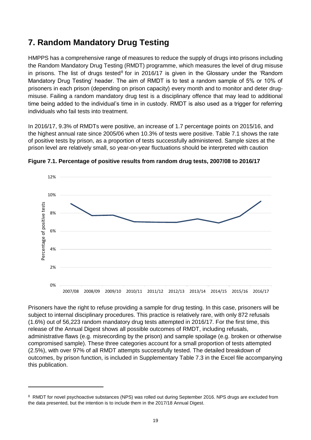### <span id="page-18-0"></span>**7. Random Mandatory Drug Testing**

HMPPS has a comprehensive range of measures to reduce the supply of drugs into prisons including the Random Mandatory Drug Testing (RMDT) programme, which measures the level of drug misuse in prisons. The list of drugs tested<sup>8</sup> for in 2016/17 is given in the Glossary under the 'Random Mandatory Drug Testing' header. The aim of RMDT is to test a random sample of 5% or 10% of prisoners in each prison (depending on prison capacity) every month and to monitor and deter drugmisuse. Failing a random mandatory drug test is a disciplinary offence that may lead to additional time being added to the individual's time in in custody. RMDT is also used as a trigger for referring individuals who fail tests into treatment.

In 2016/17, 9.3% of RMDTs were positive, an increase of 1.7 percentage points on 2015/16, and the highest annual rate since 2005/06 when 10.3% of tests were positive. Table 7.1 shows the rate of positive tests by prison, as a proportion of tests successfully administered. Sample sizes at the prison level are relatively small, so year-on-year fluctuations should be interpreted with caution



**Figure 7.1. Percentage of positive results from random drug tests, 2007/08 to 2016/17**

Prisoners have the right to refuse providing a sample for drug testing. In this case, prisoners will be subject to internal disciplinary procedures. This practice is relatively rare, with only 872 refusals (1.6%) out of 56,223 random mandatory drug tests attempted in 2016/17. For the first time, this release of the Annual Digest shows all possible outcomes of RMDT, including refusals, administrative flaws (e.g. misrecording by the prison) and sample spoilage (e.g. broken or otherwise compromised sample). These three categories account for a small proportion of tests attempted (2.5%), with over 97% of all RMDT attempts successfully tested. The detailed breakdown of outcomes, by prison function, is included in Supplementary Table 7.3 in the Excel file accompanying this publication.

<sup>&</sup>lt;sup>8</sup> RMDT for novel psychoactive substances (NPS) was rolled out during September 2016. NPS drugs are excluded from the data presented, but the intention is to include them in the 2017/18 Annual Digest.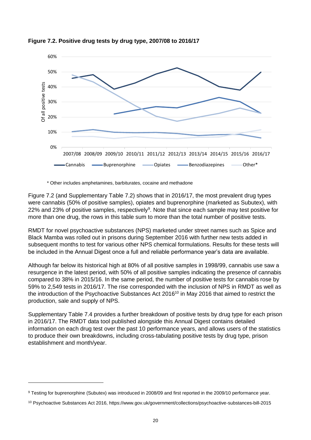

**Figure 7.2. Positive drug tests by drug type, 2007/08 to 2016/17**

\* Other includes amphetamines, barbiturates, cocaine and methadone

Figure 7.2 (and Supplementary Table 7.2) shows that in 2016/17, the most prevalent drug types were cannabis (50% of positive samples), opiates and buprenorphine (marketed as Subutex), with 22% and 23% of positive samples, respectively<sup>9</sup>. Note that since each sample may test positive for more than one drug, the rows in this table sum to more than the total number of positive tests.

RMDT for novel psychoactive substances (NPS) marketed under street names such as Spice and Black Mamba was rolled out in prisons during September 2016 with further new tests added in subsequent months to test for various other NPS chemical formulations. Results for these tests will be included in the Annual Digest once a full and reliable performance year's data are available.

Although far below its historical high at 80% of all positive samples in 1998/99, cannabis use saw a resurgence in the latest period, with 50% of all positive samples indicating the presence of cannabis compared to 38% in 2015/16. In the same period, the number of positive tests for cannabis rose by 59% to 2,549 tests in 2016/17. The rise corresponded with the inclusion of NPS in RMDT as well as the introduction of the Psychoactive Substances Act  $2016^{10}$  in May 2016 that aimed to restrict the production, sale and supply of NPS.

Supplementary Table 7.4 provides a further breakdown of positive tests by drug type for each prison in 2016/17. The RMDT data tool published alongside this Annual Digest contains detailed information on each drug test over the past 10 performance years, and allows users of the statistics to produce their own breakdowns, including cross-tabulating positive tests by drug type, prison establishment and month/year.

<sup>9</sup> Testing for buprenorphine (Subutex) was introduced in 2008/09 and first reported in the 2009/10 performance year.

<sup>10</sup> Psychoactive Substances Act 2016,<https://www.gov.uk/government/collections/psychoactive-substances-bill-2015>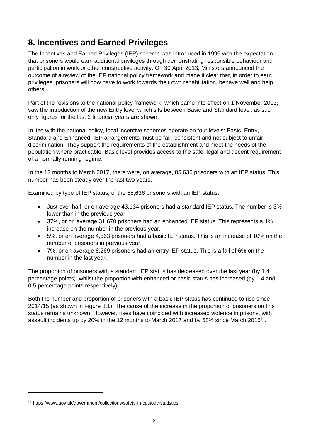# <span id="page-20-0"></span>**8. Incentives and Earned Privileges**

The Incentives and Earned Privileges (IEP) scheme was introduced in 1995 with the expectation that prisoners would earn additional privileges through demonstrating responsible behaviour and participation in work or other constructive activity. On 30 April 2013, Ministers announced the outcome of a review of the IEP national policy framework and made it clear that, in order to earn privileges, prisoners will now have to work towards their own rehabilitation, behave well and help others.

Part of the revisions to the national policy framework, which came into effect on 1 November 2013, saw the introduction of the new Entry level which sits between Basic and Standard level, as such only figures for the last 2 financial years are shown.

In line with the national policy, local incentive schemes operate on four levels: Basic, Entry, Standard and Enhanced. IEP arrangements must be fair, consistent and not subject to unfair discrimination. They support the requirements of the establishment and meet the needs of the population where practicable. Basic level provides access to the safe, legal and decent requirement of a normally running regime.

In the 12 months to March 2017, there were, on average, 85,636 prisoners with an IEP status. This number has been steady over the last two years.

Examined by type of IEP status, of the 85,636 prisoners with an IEP status:

- Just over half, or on average 43,134 prisoners had a standard IEP status. The number is 3% lower than in the previous year.
- 37%, or on average 31,670 prisoners had an enhanced IEP status. This represents a 4% increase on the number in the previous year.
- 5%, or on average 4,563 prisoners had a basic IEP status. This is an increase of 10% on the number of prisoners in previous year.
- 7%, or on average 6,269 prisoners had an entry IEP status. This is a fall of 6% on the number in the last year.

The proportion of prisoners with a standard IEP status has decreased over the last year (by 1.4 percentage points), whilst the proportion with enhanced or basic status has increased (by 1.4 and 0.5 percentage points respectively).

Both the number and proportion of prisoners with a basic IEP status has continued to rise since 2014/15 (as shown in Figure 8.1). The cause of the increase in the proportion of prisoners on this status remains unknown. However, rises have coincided with increased violence in prisons, with assault incidents up by 20% in the 12 months to March 2017 and by 58% since March 2015<sup>11</sup>.

<sup>11</sup> https://www.gov.uk/government/collections/safety-in-custody-statistics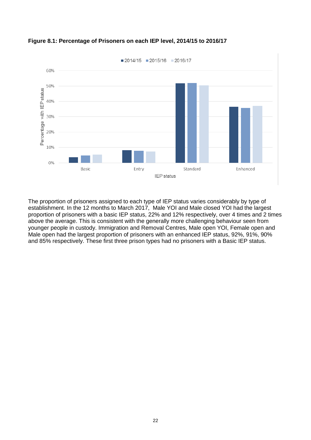

### **Figure 8.1: Percentage of Prisoners on each IEP level, 2014/15 to 2016/17**

The proportion of prisoners assigned to each type of IEP status varies considerably by type of establishment. In the 12 months to March 2017, Male YOI and Male closed YOI had the largest proportion of prisoners with a basic IEP status, 22% and 12% respectively, over 4 times and 2 times above the average. This is consistent with the generally more challenging behaviour seen from younger people in custody. Immigration and Removal Centres, Male open YOI, Female open and Male open had the largest proportion of prisoners with an enhanced IEP status, 92%, 91%, 90% and 85% respectively. These first three prison types had no prisoners with a Basic IEP status.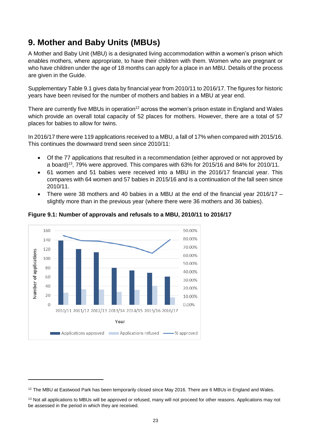# <span id="page-22-0"></span>**9. Mother and Baby Units (MBUs)**

A Mother and Baby Unit (MBU) is a designated living accommodation within a women's prison which enables mothers, where appropriate, to have their children with them. Women who are pregnant or who have children under the age of 18 months can apply for a place in an MBU. Details of the process are given in the Guide.

Supplementary Table 9.1 gives data by financial year from 2010/11 to 2016/17. The figures for historic years have been revised for the number of mothers and babies in a MBU at year end.

There are currently five MBUs in operation<sup>12</sup> across the women's prison estate in England and Wales which provide an overall total capacity of 52 places for mothers. However, there are a total of 57 places for babies to allow for twins.

In 2016/17 there were 119 applications received to a MBU, a fall of 17% when compared with 2015/16. This continues the downward trend seen since 2010/11:

- Of the 77 applications that resulted in a recommendation (either approved or not approved by a board)<sup>13</sup>, 79% were approved. This compares with 63% for 2015/16 and 84% for 2010/11.
- 61 women and 51 babies were received into a MBU in the 2016/17 financial year. This compares with 64 women and 57 babies in 2015/16 and is a continuation of the fall seen since 2010/11.
- There were 38 mothers and 40 babies in a MBU at the end of the financial year 2016/17 slightly more than in the previous year (where there were 36 mothers and 36 babies).



1

**Figure 9.1: Number of approvals and refusals to a MBU, 2010/11 to 2016/17**

<sup>&</sup>lt;sup>12</sup> The MBU at Eastwood Park has been temporarily closed since May 2016. There are 6 MBUs in England and Wales.

<sup>&</sup>lt;sup>13</sup> Not all applications to MBUs will be approved or refused, many will not proceed for other reasons. Applications may not be assessed in the period in which they are received.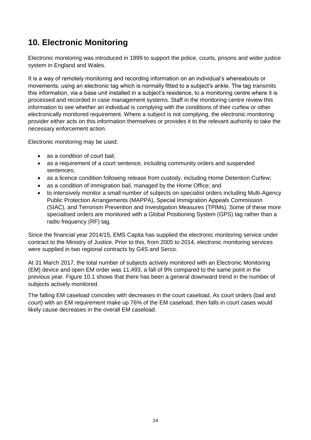# <span id="page-23-0"></span>**10. Electronic Monitoring**

Electronic monitoring was introduced in 1999 to support the police, courts, prisons and wider justice system in England and Wales.

It is a way of remotely monitoring and recording information on an individual's whereabouts or movements, using an electronic tag which is normally fitted to a subject's ankle. The tag transmits this information, via a base unit installed in a subject's residence, to a monitoring centre where it is processed and recorded in case management systems. Staff in the monitoring centre review this information to see whether an individual is complying with the conditions of their curfew or other electronically monitored requirement. Where a subject is not complying, the electronic monitoring provider either acts on this information themselves or provides it to the relevant authority to take the necessary enforcement action.

Electronic monitoring may be used:

- as a condition of court bail;
- as a requirement of a court sentence, including community orders and suspended sentences;
- as a licence condition following release from custody, including Home Detention Curfew;
- as a condition of immigration bail, managed by the Home Office; and
- to intensively monitor a small number of subjects on specialist orders including Multi-Agency Public Protection Arrangements (MAPPA), Special Immigration Appeals Commission (SIAC), and Terrorism Prevention and Investigation Measures (TPIMs). Some of these more specialised orders are monitored with a Global Positioning System (GPS) tag rather than a radio frequency (RF) tag.

Since the financial year 2014/15, EMS Capita has supplied the electronic monitoring service under contract to the Ministry of Justice. Prior to this, from 2005 to 2014, electronic monitoring services were supplied in two regional contracts by G4S and Serco.

At 31 March 2017, the total number of subjects actively monitored with an Electronic Monitoring (EM) device and open EM order was 11,493, a fall of 9% compared to the same point in the previous year. Figure 10.1 shows that there has been a general downward trend in the number of subjects actively monitored.

The falling EM caseload coincides with decreases in the court caseload. As court orders (bail and court) with an EM requirement make up 76% of the EM caseload, then falls in court cases would likely cause decreases in the overall EM caseload.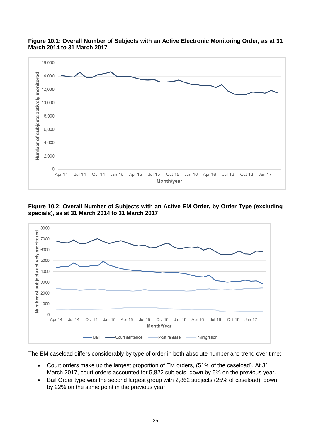



**Figure 10.2: Overall Number of Subjects with an Active EM Order, by Order Type (excluding specials), as at 31 March 2014 to 31 March 2017**



The EM caseload differs considerably by type of order in both absolute number and trend over time:

- Court orders make up the largest proportion of EM orders, (51% of the caseload). At 31 March 2017, court orders accounted for 5,822 subjects, down by 6% on the previous year.
- Bail Order type was the second largest group with 2,862 subjects (25% of caseload), down by 22% on the same point in the previous year.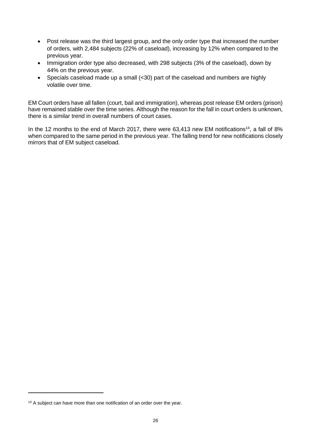- Post release was the third largest group, and the only order type that increased the number of orders, with 2,484 subjects (22% of caseload), increasing by 12% when compared to the previous year.
- Immigration order type also decreased, with 298 subjects (3% of the caseload), down by 44% on the previous year.
- Specials caseload made up a small (<30) part of the caseload and numbers are highly volatile over time.

EM Court orders have all fallen (court, bail and immigration), whereas post release EM orders (prison) have remained stable over the time series. Although the reason for the fall in court orders is unknown, there is a similar trend in overall numbers of court cases.

In the 12 months to the end of March 2017, there were  $63,413$  new EM notifications<sup>14</sup>, a fall of 8% when compared to the same period in the previous year. The falling trend for new notifications closely mirrors that of EM subject caseload.

<sup>&</sup>lt;sup>14</sup> A subject can have more than one notification of an order over the year.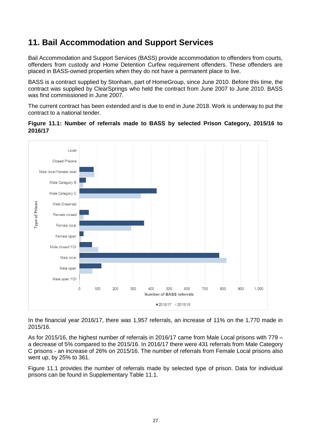### <span id="page-26-0"></span>**11. Bail Accommodation and Support Services**

Bail Accommodation and Support Services (BASS) provide accommodation to offenders from courts, offenders from custody and Home Detention Curfew requirement offenders. These offenders are placed in BASS-owned properties when they do not have a permanent place to live.

BASS is a contract supplied by Stonham, part of HomeGroup, since June 2010. Before this time, the contract was supplied by ClearSprings who held the contract from June 2007 to June 2010. BASS was first commissioned in June 2007.

The current contract has been extended and is due to end in June 2018. Work is underway to put the contract to a national tender.





In the financial year 2016/17, there was 1,957 referrals, an increase of 11% on the 1,770 made in 2015/16.

As for 2015/16, the highest number of referrals in 2016/17 came from Male Local prisons with 779 – a decrease of 5% compared to the 2015/16. In 2016/17 there were 431 referrals from Male Category C prisons - an increase of 26% on 2015/16. The number of referrals from Female Local prisons also went up, by 25% to 361.

Figure 11.1 provides the number of referrals made by selected type of prison. Data for individual prisons can be found in Supplementary Table 11.1.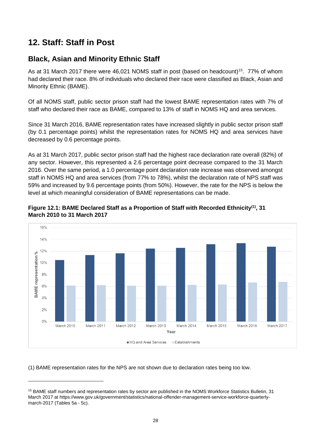# <span id="page-27-0"></span>**12. Staff: Staff in Post**

1

### **Black, Asian and Minority Ethnic Staff**

As at 31 March 2017 there were 46,021 NOMS staff in post (based on headcount)<sup>15</sup>. 77% of whom had declared their race. 8% of individuals who declared their race were classified as Black, Asian and Minority Ethnic (BAME).

Of all NOMS staff, public sector prison staff had the lowest BAME representation rates with 7% of staff who declared their race as BAME, compared to 13% of staff in NOMS HQ and area services.

Since 31 March 2016, BAME representation rates have increased slightly in public sector prison staff (by 0.1 percentage points) whilst the representation rates for NOMS HQ and area services have decreased by 0.6 percentage points.

As at 31 March 2017, public sector prison staff had the highest race declaration rate overall (82%) of any sector. However, this represented a 2.6 percentage point decrease compared to the 31 March 2016. Over the same period, a 1.0 percentage point declaration rate increase was observed amongst staff in NOMS HQ and area services (from 77% to 78%), whilst the declaration rate of NPS staff was 59% and increased by 9.6 percentage points (from 50%). However, the rate for the NPS is below the level at which meaningful consideration of BAME representations can be made.





(1) BAME representation rates for the NPS are not shown due to declaration rates being too low.

<sup>15</sup> BAME staff numbers and representation rates by sector are published in the NOMS Workforce Statistics Bulletin, 31 March 2017 at [https://www.gov.uk/government/statistics/national-offender-management-service-workforce-quarterly](https://www.gov.uk/government/statistics/national-offender-management-service-workforce-quarterly-march-2017)[march-2017](https://www.gov.uk/government/statistics/national-offender-management-service-workforce-quarterly-march-2017) (Tables 5a - 5c).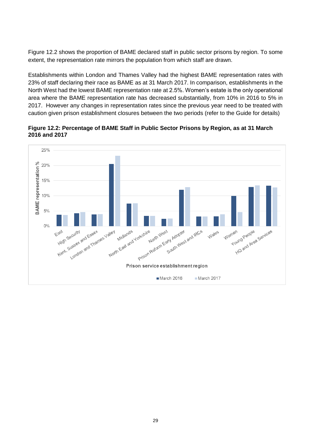Figure 12.2 shows the proportion of BAME declared staff in public sector prisons by region. To some extent, the representation rate mirrors the population from which staff are drawn.

Establishments within London and Thames Valley had the highest BAME representation rates with 23% of staff declaring their race as BAME as at 31 March 2017. In comparison, establishments in the North West had the lowest BAME representation rate at 2.5%. Women's estate is the only operational area where the BAME representation rate has decreased substantially, from 10% in 2016 to 5% in 2017. However any changes in representation rates since the previous year need to be treated with caution given prison establishment closures between the two periods (refer to the Guide for details)

**Figure 12.2: Percentage of BAME Staff in Public Sector Prisons by Region, as at 31 March 2016 and 2017**

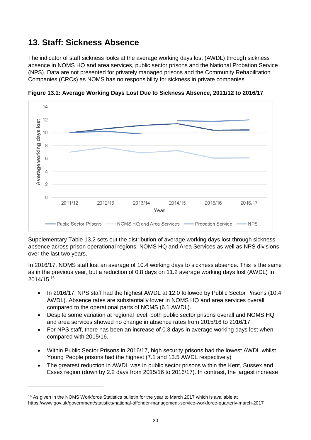# <span id="page-29-0"></span>**13. Staff: Sickness Absence**

The indicator of staff sickness looks at the average working days lost (AWDL) through sickness absence in NOMS HQ and area services, public sector prisons and the National Probation Service (NPS). Data are not presented for privately managed prisons and the Community Rehabilitation Companies (CRCs) as NOMS has no responsibility for sickness in private companies



**Figure 13.1: Average Working Days Lost Due to Sickness Absence, 2011/12 to 2016/17**

Supplementary Table 13.2 sets out the distribution of average working days lost through sickness absence across prison operational regions, NOMS HQ and Area Services as well as NPS divisions over the last two years.

In 2016/17, NOMS staff lost an average of 10.4 working days to sickness absence. This is the same as in the previous year, but a reduction of 0.8 days on 11.2 average working days lost (AWDL) In 2014/15.<sup>16</sup>

- In 2016/17, NPS staff had the highest AWDL at 12.0 followed by Public Sector Prisons (10.4 AWDL). Absence rates are substantially lower in NOMS HQ and area services overall compared to the operational parts of NOMS (6.1 AWDL).
- Despite some variation at regional level, both public sector prisons overall and NOMS HQ and area services showed no change in absence rates from 2015/16 to 2016/17.
- For NPS staff, there has been an increase of 0.3 days in average working days lost when compared with 2015/16.
- Within Public Sector Prisons in 2016/17, high security prisons had the lowest AWDL whilst Young People prisons had the highest (7.1 and 13.5 AWDL respectively)
- The greatest reduction in AWDL was in public sector prisons within the Kent, Sussex and Essex region (down by 2.2 days from 2015/16 to 2016/17). In contrast, the largest increase

 $16$  As given in the NOMS Workforce Statistics bulletin for the year to March 2017 which is available at https://www.gov.uk/government/statistics/national-offender-management-service-workforce-quarterly-march-2017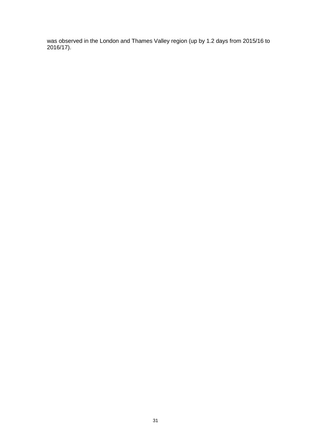<span id="page-30-0"></span>was observed in the London and Thames Valley region (up by 1.2 days from 2015/16 to 2016/17).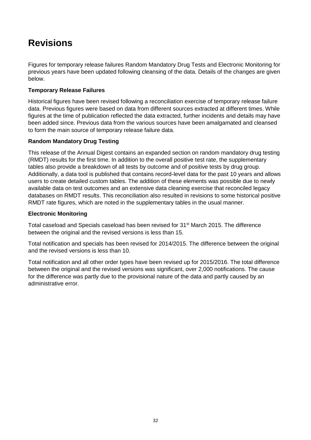# **Revisions**

Figures for temporary release failures Random Mandatory Drug Tests and Electronic Monitoring for previous years have been updated following cleansing of the data. Details of the changes are given below.

### **Temporary Release Failures**

Historical figures have been revised following a reconciliation exercise of temporary release failure data. Previous figures were based on data from different sources extracted at different times. While figures at the time of publication reflected the data extracted, further incidents and details may have been added since. Previous data from the various sources have been amalgamated and cleansed to form the main source of temporary release failure data.

### **Random Mandatory Drug Testing**

This release of the Annual Digest contains an expanded section on random mandatory drug testing (RMDT) results for the first time. In addition to the overall positive test rate, the supplementary tables also provide a breakdown of all tests by outcome and of positive tests by drug group. Additionally, a data tool is published that contains record-level data for the past 10 years and allows users to create detailed custom tables. The addition of these elements was possible due to newly available data on test outcomes and an extensive data cleaning exercise that reconciled legacy databases on RMDT results. This reconciliation also resulted in revisions to some historical positive RMDT rate figures, which are noted in the supplementary tables in the usual manner.

### **Electronic Monitoring**

Total caseload and Specials caseload has been revised for 31<sup>st</sup> March 2015. The difference between the original and the revised versions is less than 15.

Total notification and specials has been revised for 2014/2015. The difference between the original and the revised versions is less than 10.

Total notification and all other order types have been revised up for 2015/2016. The total difference between the original and the revised versions was significant, over 2,000 notifications. The cause for the difference was partly due to the provisional nature of the data and partly caused by an administrative error.